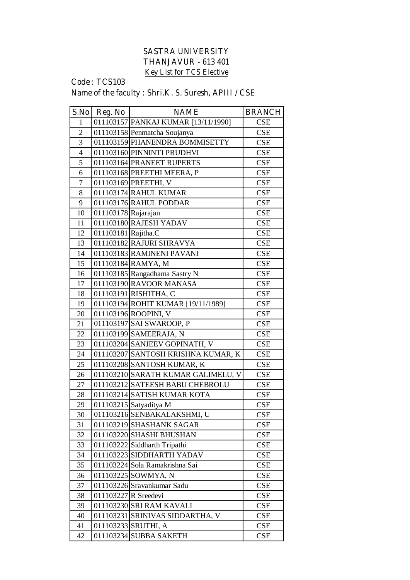## **SASTRA UNIVERSITY THANJAVUR - 613 401 Key List for TCS Elective**

## **Code : TCS103 Name of the faculty : Shri.K. S. Suresh, APIII / CSE**

| S.No           | Reg. No              | <b>NAME</b>                         | <b>BRANCH</b> |
|----------------|----------------------|-------------------------------------|---------------|
| 1              |                      | 011103157 PANKAJ KUMAR [13/11/1990] | <b>CSE</b>    |
| $\overline{2}$ |                      | 011103158 Penmatcha Soujanya        | <b>CSE</b>    |
| $\overline{3}$ |                      | 011103159 PHANENDRA BOMMISETTY      | <b>CSE</b>    |
| $\overline{4}$ |                      | 011103160 PINNINTI PRUDHVI          | <b>CSE</b>    |
| 5              |                      | 011103164 PRANEET RUPERTS           | <b>CSE</b>    |
| 6              |                      | 011103168 PREETHI MEERA, P          | CSE           |
| $\overline{7}$ |                      | 011103169 PREETHI, V                | <b>CSE</b>    |
| 8              |                      | 011103174 RAHUL KUMAR               | <b>CSE</b>    |
| 9              |                      | 011103176 RAHUL PODDAR              | <b>CSE</b>    |
| 10             | 011103178 Rajarajan  |                                     | <b>CSE</b>    |
| 11             |                      | 011103180 RAJESH YADAV              | <b>CSE</b>    |
| 12             | 011103181 Rajitha.C  |                                     | <b>CSE</b>    |
| 13             |                      | 011103182 RAJURI SHRAVYA            | CSE           |
| 14             |                      | 011103183 RAMINENI PAVANI           | CSE           |
| 15             |                      | 011103184 RAMYA, M                  | CSE           |
| 16             |                      | 011103185 Rangadhama Sastry N       | <b>CSE</b>    |
| 17             |                      | 011103190 RAVOOR MANASA             | <b>CSE</b>    |
| 18             |                      | 011103191 RISHITHA, C               | <b>CSE</b>    |
| 19             |                      | 011103194 ROHIT KUMAR [19/11/1989]  | <b>CSE</b>    |
| 20             |                      | 011103196 ROOPINI, V                | <b>CSE</b>    |
| 21             |                      | 011103197 SAI SWAROOP, P            | <b>CSE</b>    |
| 22             |                      | 011103199 SAMEERAJA, N              | CSE           |
| 23             |                      | 011103204 SANJEEV GOPINATH, V       | <b>CSE</b>    |
| 24             |                      | 011103207 SANTOSH KRISHNA KUMAR, K  | CSE           |
| 25             |                      | 011103208 SANTOSH KUMAR, K          | <b>CSE</b>    |
| 26             |                      | 011103210 SARATH KUMAR GALIMELU, V  | <b>CSE</b>    |
| 27             |                      | 011103212 SATEESH BABU CHEBROLU     | CSE           |
| 28             |                      | 011103214 SATISH KUMAR KOTA         | <b>CSE</b>    |
| 29             |                      | 011103215 Satyaditya M              | <b>CSE</b>    |
| 30             |                      | 011103216 SENBAKALAKSHMI, U         | <b>CSE</b>    |
| 31             |                      | 011103219 SHASHANK SAGAR            | <b>CSE</b>    |
| 32             |                      | 011103220 SHASHI BHUSHAN            | <b>CSE</b>    |
| 33             |                      | 011103222 Siddharth Tripathi        | CSE           |
| 34             |                      | 011103223 SIDDHARTH YADAV           | CSE           |
| 35             |                      | 011103224 Sola Ramakrishna Sai      | CSE           |
| 36             |                      | 011103225 SOWMYA, N                 | <b>CSE</b>    |
| 37             |                      | 011103226 Sravankumar Sadu          | <b>CSE</b>    |
| 38             | 011103227 R Sreedevi |                                     | <b>CSE</b>    |
| 39             |                      | 011103230 SRI RAM KAVALI            | <b>CSE</b>    |
| 40             |                      | 011103231 SRINIVAS SIDDARTHA, V     | <b>CSE</b>    |
| 41             |                      | 011103233 SRUTHI, A                 | <b>CSE</b>    |
| 42             |                      | 011103234 SUBBA SAKETH              | <b>CSE</b>    |